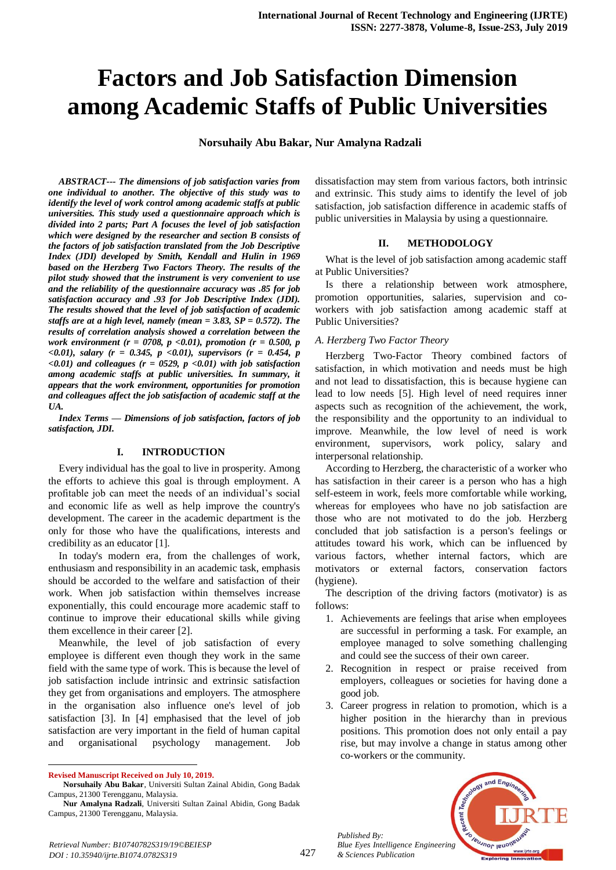# **Factors and Job Satisfaction Dimension among Academic Staffs of Public Universities**

**Norsuhaily Abu Bakar, Nur Amalyna Radzali**

*ABSTRACT--- The dimensions of job satisfaction varies from one individual to another. The objective of this study was to identify the level of work control among academic staffs at public universities. This study used a questionnaire approach which is divided into 2 parts; Part A focuses the level of job satisfaction which were designed by the researcher and section B consists of the factors of job satisfaction translated from the Job Descriptive Index (JDI) developed by Smith, Kendall and Hulin in 1969 based on the Herzberg Two Factors Theory. The results of the pilot study showed that the instrument is very convenient to use and the reliability of the questionnaire accuracy was .85 for job satisfaction accuracy and .93 for Job Descriptive Index (JDI). The results showed that the level of job satisfaction of academic staffs are at a high level, namely (mean = 3.83, SP = 0.572). The results of correlation analysis showed a correlation between the work environment (r = 0708, p <0.01), promotion (r = 0.500, p <0.01), salary (r = 0.345, p <0.01), supervisors (r = 0.454, p*   $(0.01)$  and colleagues ( $r = 0.029$ ,  $p < 0.01$ ) with job satisfaction *among academic staffs at public universities. In summary, it appears that the work environment, opportunities for promotion and colleagues affect the job satisfaction of academic staff at the UA.*

*Index Terms — Dimensions of job satisfaction, factors of job satisfaction, JDI.*

### **I. INTRODUCTION**

Every individual has the goal to live in prosperity. Among the efforts to achieve this goal is through employment. A profitable job can meet the needs of an individual's social and economic life as well as help improve the country's development. The career in the academic department is the only for those who have the qualifications, interests and credibility as an educator [1].

In today's modern era, from the challenges of work, enthusiasm and responsibility in an academic task, emphasis should be accorded to the welfare and satisfaction of their work. When job satisfaction within themselves increase exponentially, this could encourage more academic staff to continue to improve their educational skills while giving them excellence in their career [2].

Meanwhile, the level of job satisfaction of every employee is different even though they work in the same field with the same type of work. This is because the level of job satisfaction include intrinsic and extrinsic satisfaction they get from organisations and employers. The atmosphere in the organisation also influence one's level of job satisfaction [3]. In [4] emphasised that the level of job satisfaction are very important in the field of human capital and organisational psychology management. Job

**Revised Manuscript Received on July 10, 2019.**

 $\ddot{\phantom{a}}$ 

dissatisfaction may stem from various factors, both intrinsic and extrinsic. This study aims to identify the level of job satisfaction, job satisfaction difference in academic staffs of public universities in Malaysia by using a questionnaire.

#### **II. METHODOLOGY**

What is the level of job satisfaction among academic staff at Public Universities?

Is there a relationship between work atmosphere, promotion opportunities, salaries, supervision and coworkers with job satisfaction among academic staff at Public Universities?

### *A. Herzberg Two Factor Theory*

Herzberg Two-Factor Theory combined factors of satisfaction, in which motivation and needs must be high and not lead to dissatisfaction, this is because hygiene can lead to low needs [5]. High level of need requires inner aspects such as recognition of the achievement, the work, the responsibility and the opportunity to an individual to improve. Meanwhile, the low level of need is work environment, supervisors, work policy, salary and interpersonal relationship.

According to Herzberg, the characteristic of a worker who has satisfaction in their career is a person who has a high self-esteem in work, feels more comfortable while working, whereas for employees who have no job satisfaction are those who are not motivated to do the job. Herzberg concluded that job satisfaction is a person's feelings or attitudes toward his work, which can be influenced by various factors, whether internal factors, which are motivators or external factors, conservation factors (hygiene).

The description of the driving factors (motivator) is as follows:

- 1. Achievements are feelings that arise when employees are successful in performing a task. For example, an employee managed to solve something challenging and could see the success of their own career.
- 2. Recognition in respect or praise received from employers, colleagues or societies for having done a good job.
- 3. Career progress in relation to promotion, which is a higher position in the hierarchy than in previous positions. This promotion does not only entail a pay rise, but may involve a change in status among other co-workers or the community.



*Retrieval Number: B10740782S319/19©BEIESP DOI : 10.35940/ijrte.B1074.0782S319*

*Published By:*

**Norsuhaily Abu Bakar**, Universiti Sultan Zainal Abidin, Gong Badak Campus, 21300 Terengganu, Malaysia.

**Nur Amalyna Radzali**, Universiti Sultan Zainal Abidin, Gong Badak Campus, 21300 Terengganu, Malaysia.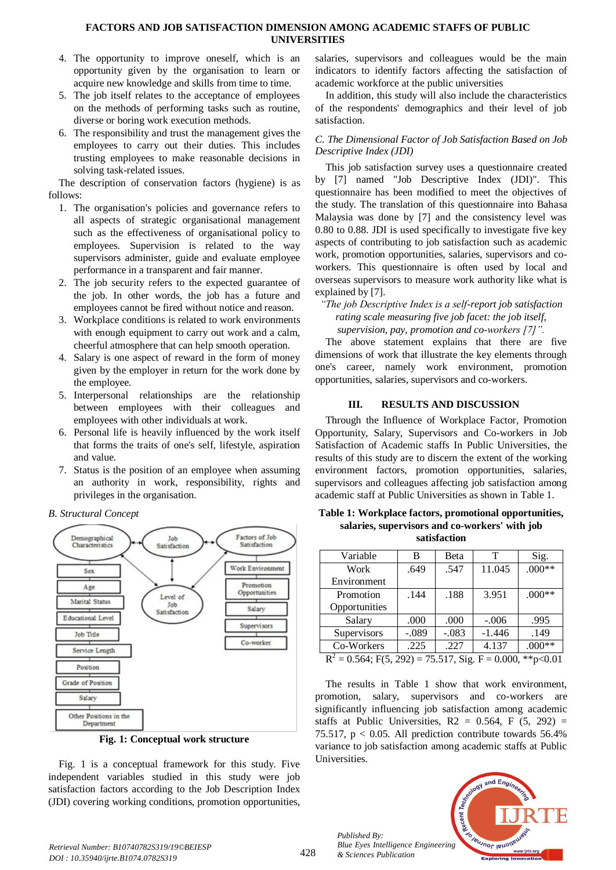### **FACTORS AND JOB SATISFACTION DIMENSION AMONG ACADEMIC STAFFS OF PUBLIC UNIVERSITIES**

- 4. The opportunity to improve oneself, which is an opportunity given by the organisation to learn or acquire new knowledge and skills from time to time.
- 5. The job itself relates to the acceptance of employees on the methods of performing tasks such as routine, diverse or boring work execution methods.
- 6. The responsibility and trust the management gives the employees to carry out their duties. This includes trusting employees to make reasonable decisions in solving task-related issues.

The description of conservation factors (hygiene) is as follows:

- 1. The organisation's policies and governance refers to all aspects of strategic organisational management such as the effectiveness of organisational policy to employees. Supervision is related to the way supervisors administer, guide and evaluate employee performance in a transparent and fair manner.
- 2. The job security refers to the expected guarantee of the job. In other words, the job has a future and employees cannot be fired without notice and reason.
- 3. Workplace conditions is related to work environments with enough equipment to carry out work and a calm, cheerful atmosphere that can help smooth operation.
- 4. Salary is one aspect of reward in the form of money given by the employer in return for the work done by the employee.
- 5. Interpersonal relationships are the relationship between employees with their colleagues and employees with other individuals at work.
- 6. Personal life is heavily influenced by the work itself that forms the traits of one's self, lifestyle, aspiration and value.
- 7. Status is the position of an employee when assuming an authority in work, responsibility, rights and privileges in the organisation.

### *B. Structural Concept*



**Fig. 1: Conceptual work structure**

Fig. 1 is a conceptual framework for this study. Five independent variables studied in this study were job satisfaction factors according to the Job Description Index (JDI) covering working conditions, promotion opportunities,

salaries, supervisors and colleagues would be the main indicators to identify factors affecting the satisfaction of academic workforce at the public universities

In addition, this study will also include the characteristics of the respondents' demographics and their level of job satisfaction.

### *C. The Dimensional Factor of Job Satisfaction Based on Job Descriptive Index (JDI)*

This job satisfaction survey uses a questionnaire created by [7] named "Job Descriptive Index (JDI)". This questionnaire has been modified to meet the objectives of the study. The translation of this questionnaire into Bahasa Malaysia was done by [7] and the consistency level was 0.80 to 0.88. JDI is used specifically to investigate five key aspects of contributing to job satisfaction such as academic work, promotion opportunities, salaries, supervisors and coworkers. This questionnaire is often used by local and overseas supervisors to measure work authority like what is explained by [7].

*"The job Descriptive Index is a self-report job satisfaction rating scale measuring five job facet: the job itself, supervision, pay, promotion and co-workers [7]".*

The above statement explains that there are five dimensions of work that illustrate the key elements through one's career, namely work environment, promotion opportunities, salaries, supervisors and co-workers.

### **III. RESULTS AND DISCUSSION**

Through the Influence of Workplace Factor, Promotion Opportunity, Salary, Supervisors and Co-workers in Job Satisfaction of Academic staffs In Public Universities, the results of this study are to discern the extent of the working environment factors, promotion opportunities, salaries, supervisors and colleagues affecting job satisfaction among academic staff at Public Universities as shown in Table 1.

**Table 1: Workplace factors, promotional opportunities, salaries, supervisors and co-workers' with job satisfaction**

| Variable                                                        | B       | Beta    | т        | Sig.     |  |  |
|-----------------------------------------------------------------|---------|---------|----------|----------|--|--|
| Work                                                            | .649    | .547    | 11.045   | $.000**$ |  |  |
| Environment                                                     |         |         |          |          |  |  |
| Promotion                                                       | .144    | .188    | 3.951    | $.000**$ |  |  |
| Opportunities                                                   |         |         |          |          |  |  |
| Salary                                                          | .000    | .000    | $-.006$  | .995     |  |  |
| Supervisors                                                     | $-.089$ | $-.083$ | $-1.446$ | .149     |  |  |
| Co-Workers                                                      | .225    | .227    | 4.137    | $.000**$ |  |  |
| $R^2 = 0.564$ ; F(5, 292) = 75.517, Sig. F = 0.000,<br>**p<0.01 |         |         |          |          |  |  |

The results in Table 1 show that work environment, promotion, salary, supervisors and co-workers are significantly influencing job satisfaction among academic staffs at Public Universities,  $R2 = 0.564$ , F  $(5, 292) =$ 75.517,  $p < 0.05$ . All prediction contribute towards 56.4% variance to job satisfaction among academic staffs at Public Universities.



*Published By:*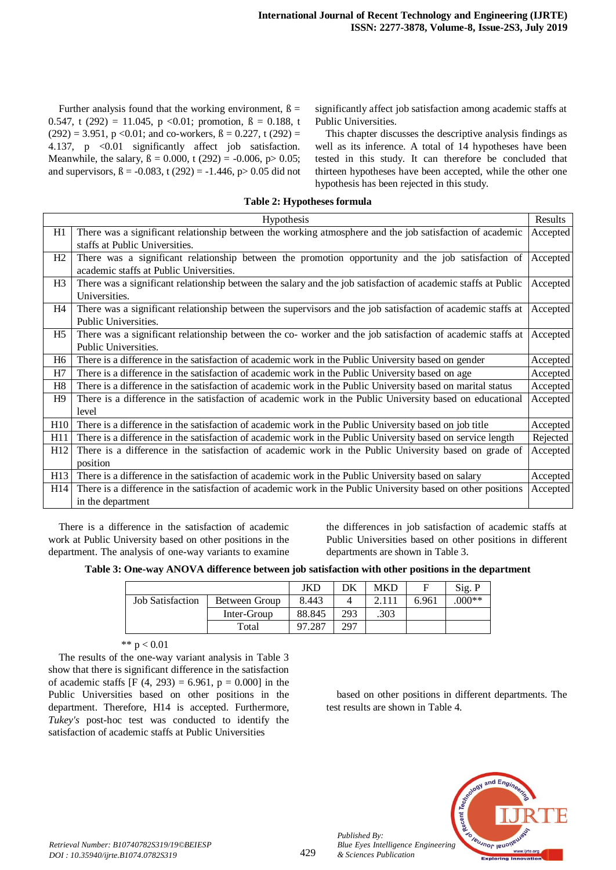Further analysis found that the working environment,  $\beta =$ 0.547, t (292) = 11.045, p < 0.01; promotion,  $\beta = 0.188$ , t  $(292) = 3.951$ , p < 0.01; and co-workers,  $\beta = 0.227$ , t (292) = 4.137, p <0.01 significantly affect job satisfaction. Meanwhile, the salary,  $\beta = 0.000$ , t (292) = -0.006, p> 0.05; and supervisors,  $\beta = -0.083$ , t (292) = -1.446, p > 0.05 did not

significantly affect job satisfaction among academic staffs at Public Universities.

This chapter discusses the descriptive analysis findings as well as its inference. A total of 14 hypotheses have been tested in this study. It can therefore be concluded that thirteen hypotheses have been accepted, while the other one hypothesis has been rejected in this study.

## **Table 2: Hypotheses formula**

|                | Hypothesis                                                                                                    | Results  |
|----------------|---------------------------------------------------------------------------------------------------------------|----------|
| H1             | There was a significant relationship between the working atmosphere and the job satisfaction of academic      | Accepted |
|                | staffs at Public Universities.                                                                                |          |
| H2             | There was a significant relationship between the promotion opportunity and the job satisfaction of            | Accepted |
|                | academic staffs at Public Universities.                                                                       |          |
| H <sub>3</sub> | There was a significant relationship between the salary and the job satisfaction of academic staffs at Public | Accepted |
|                | Universities.                                                                                                 |          |
| H <sub>4</sub> | There was a significant relationship between the supervisors and the job satisfaction of academic staffs at   | Accepted |
|                | Public Universities.                                                                                          |          |
| H <sub>5</sub> | There was a significant relationship between the co- worker and the job satisfaction of academic staffs at    | Accepted |
|                | Public Universities.                                                                                          |          |
| H <sub>6</sub> | There is a difference in the satisfaction of academic work in the Public University based on gender           | Accepted |
| H7             | There is a difference in the satisfaction of academic work in the Public University based on age              | Accepted |
| H8             | There is a difference in the satisfaction of academic work in the Public University based on marital status   | Accepted |
| H9             | There is a difference in the satisfaction of academic work in the Public University based on educational      | Accepted |
|                | level                                                                                                         |          |
| H10            | There is a difference in the satisfaction of academic work in the Public University based on job title        | Accepted |
| H11            | There is a difference in the satisfaction of academic work in the Public University based on service length   | Rejected |
| H12            | There is a difference in the satisfaction of academic work in the Public University based on grade of         | Accepted |
|                | position                                                                                                      |          |
| H13            | There is a difference in the satisfaction of academic work in the Public University based on salary           | Accepted |
| H14            | There is a difference in the satisfaction of academic work in the Public University based on other positions  | Accepted |
|                | in the department                                                                                             |          |

There is a difference in the satisfaction of academic work at Public University based on other positions in the department. The analysis of one-way variants to examine the differences in job satisfaction of academic staffs at Public Universities based on other positions in different departments are shown in Table 3.

**Table 3: One-way ANOVA difference between job satisfaction with other positions in the department**

|                         |               | JKD    | DK  | <b>MKD</b> |       | Sig. P  |
|-------------------------|---------------|--------|-----|------------|-------|---------|
| <b>Job Satisfaction</b> | Between Group | 8.443  |     |            | 6.961 | $000**$ |
|                         | Inter-Group   | 88.845 | 293 | .303       |       |         |
|                         | Total         | 97.287 | 297 |            |       |         |

\*\*  $p < 0.01$ 

The results of the one-way variant analysis in Table 3 show that there is significant difference in the satisfaction of academic staffs [F  $(4, 293) = 6.961$ , p = 0.000] in the Public Universities based on other positions in the department. Therefore, H14 is accepted. Furthermore, *Tukey's* post-hoc test was conducted to identify the satisfaction of academic staffs at Public Universities

based on other positions in different departments. The test results are shown in Table 4.



*Published By:*